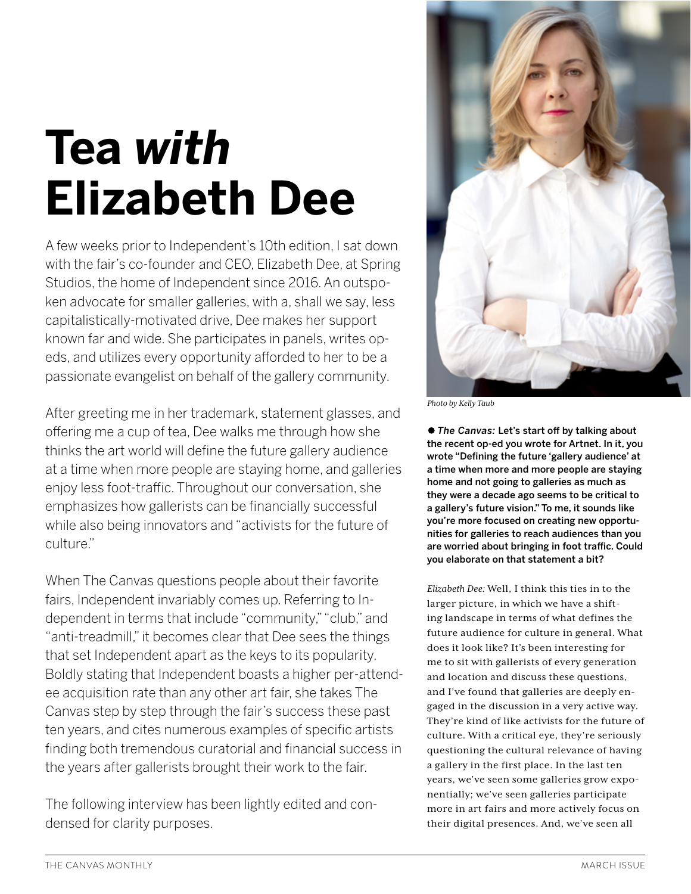# **Tea** *with* **Elizabeth Dee**

A few weeks prior to Independent's 10th edition, I sat down with the fair's co-founder and CEO, Elizabeth Dee, at Spring Studios, the home of Independent since 2016. An outspoken advocate for smaller galleries, with a, shall we say, less capitalistically-motivated drive, Dee makes her support known far and wide. She participates in panels, writes opeds, and utilizes every opportunity afforded to her to be a passionate evangelist on behalf of the gallery community.

After greeting me in her trademark, statement glasses, and ofering me a cup of tea, Dee walks me through how she thinks the art world will define the future gallery audience at a time when more people are staying home, and galleries enjoy less foot-traffic. Throughout our conversation, she emphasizes how gallerists can be financially successful while also being innovators and "activists for the future of culture."

When The Canvas questions people about their favorite fairs, Independent invariably comes up. Referring to Independent in terms that include "community," "club," and "anti-treadmill," it becomes clear that Dee sees the things that set Independent apart as the keys to its popularity. Boldly stating that Independent boasts a higher per-attendee acquisition rate than any other art fair, she takes The Canvas step by step through the fair's success these past ten years, and cites numerous examples of specific artists finding both tremendous curatorial and financial success in the years after gallerists brought their work to the fair.

The following interview has been lightly edited and condensed for clarity purposes.



*Photo by Kelly Taub*

● The Canvas: Let's start off by talking about the recent op-ed you wrote for Artnet. In it, you wrote "Defining the future 'gallery audience' at a time when more and more people are staying home and not going to galleries as much as they were a decade ago seems to be critical to a gallery's future vision." To me, it sounds like you're more focused on creating new opportunities for galleries to reach audiences than you are worried about bringing in foot traffic. Could you elaborate on that statement a bit?

*Elizabeth Dee:* Well, I think this ties in to the larger picture, in which we have a shifting landscape in terms of what defines the future audience for culture in general. What does it look like? It's been interesting for me to sit with gallerists of every generation and location and discuss these questions, and I've found that galleries are deeply engaged in the discussion in a very active way. They're kind of like activists for the future of culture. With a critical eye, they're seriously questioning the cultural relevance of having a gallery in the first place. In the last ten years, we've seen some galleries grow exponentially; we've seen galleries participate more in art fairs and more actively focus on their digital presences. And, we've seen all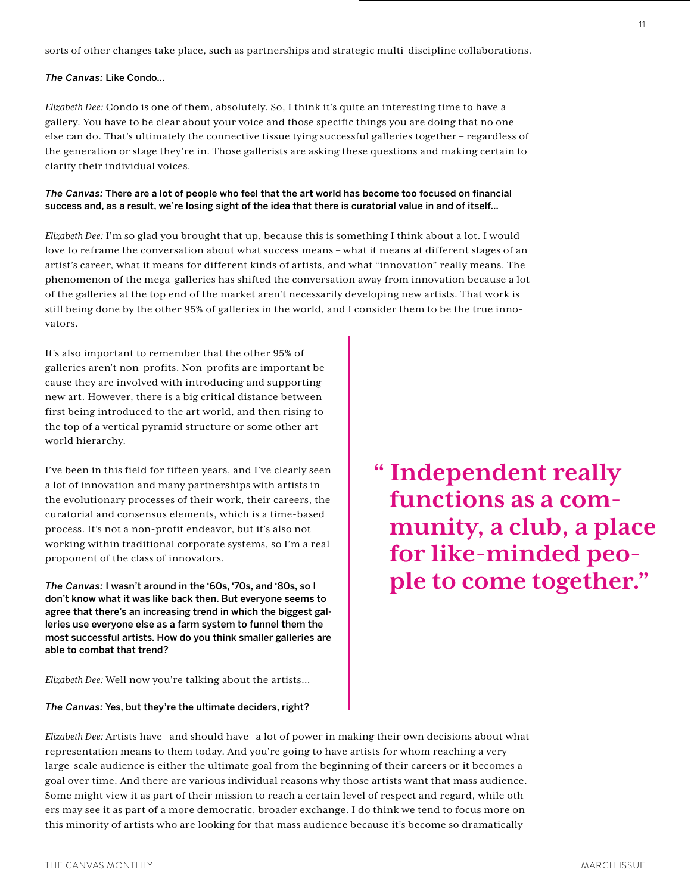# *The Canvas:* Like Condo…

*Elizabeth Dee:* Condo is one of them, absolutely. So, I think it's quite an interesting time to have a gallery. You have to be clear about your voice and those specific things you are doing that no one else can do. That's ultimately the connective tissue tying successful galleries together – regardless of the generation or stage they're in. Those gallerists are asking these questions and making certain to clarify their individual voices.

# *The Canvas:* There are a lot of people who feel that the art world has become too focused on financial success and, as a result, we're losing sight of the idea that there is curatorial value in and of itself…

*Elizabeth Dee:* I'm so glad you brought that up, because this is something I think about a lot. I would love to reframe the conversation about what success means – what it means at different stages of an artist's career, what it means for different kinds of artists, and what "innovation" really means. The phenomenon of the mega-galleries has shifted the conversation away from innovation because a lot of the galleries at the top end of the market aren't necessarily developing new artists. That work is still being done by the other 95% of galleries in the world, and I consider them to be the true innovators.

It's also important to remember that the other 95% of galleries aren't non-profits. Non-profits are important because they are involved with introducing and supporting new art. However, there is a big critical distance between first being introduced to the art world, and then rising to the top of a vertical pyramid structure or some other art world hierarchy.

I've been in this field for fifteen years, and I've clearly seen a lot of innovation and many partnerships with artists in the evolutionary processes of their work, their careers, the curatorial and consensus elements, which is a time-based process. It's not a non-profit endeavor, but it's also not working within traditional corporate systems, so I'm a real proponent of the class of innovators.

*The Canvas:* I wasn't around in the '60s, '70s, and '80s, so I don't know what it was like back then. But everyone seems to agree that there's an increasing trend in which the biggest galleries use everyone else as a farm system to funnel them the most successful artists. How do you think smaller galleries are able to combat that trend?

**" Independent really functions as a com- munity, a club, a place for like-minded peo- ple to come together."** 

*Elizabeth Dee:* Well now you're talking about the artists…

#### *The Canvas:* Yes, but they're the ultimate deciders, right?

*Elizabeth Dee:* Artists have- and should have- a lot of power in making their own decisions about what representation means to them today. And you're going to have artists for whom reaching a very large-scale audience is either the ultimate goal from the beginning of their careers or it becomes a goal over time. And there are various individual reasons why those artists want that mass audience. Some might view it as part of their mission to reach a certain level of respect and regard, while others may see it as part of a more democratic, broader exchange. I do think we tend to focus more on this minority of artists who are looking for that mass audience because it's become so dramatically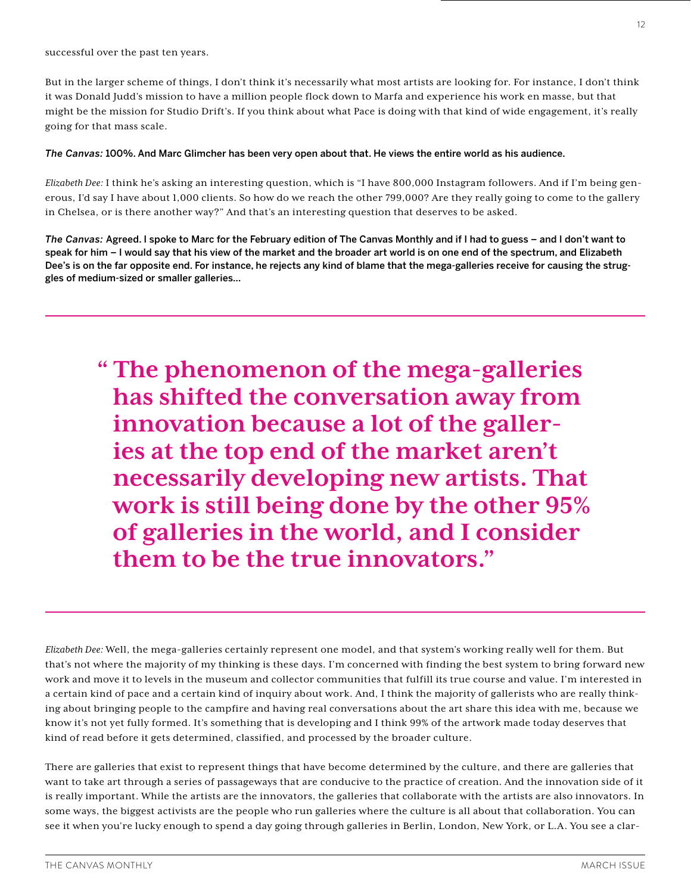successful over the past ten years.

But in the larger scheme of things, I don't think it's necessarily what most artists are looking for. For instance, I don't think it was Donald Judd's mission to have a million people flock down to Marfa and experience his work en masse, but that might be the mission for Studio Drift's. If you think about what Pace is doing with that kind of wide engagement, it's really going for that mass scale.

# *The Canvas:* 100%. And Marc Glimcher has been very open about that. He views the entire world as his audience.

*Elizabeth Dee:* I think he's asking an interesting question, which is "I have 800,000 Instagram followers. And if I'm being generous, I'd say I have about 1,000 clients. So how do we reach the other 799,000? Are they really going to come to the gallery in Chelsea, or is there another way?" And that's an interesting question that deserves to be asked.

*The Canvas:* Agreed. I spoke to Marc for the February edition of The Canvas Monthly and if I had to guess – and I don't want to speak for him – I would say that his view of the market and the broader art world is on one end of the spectrum, and Elizabeth Dee's is on the far opposite end. For instance, he rejects any kind of blame that the mega-galleries receive for causing the struggles of medium-sized or smaller galleries…

**" The phenomenon of the mega-galleries has shifted the conversation away from innovation because a lot of the galleries at the top end of the market aren't necessarily developing new artists. That work is still being done by the other 95% of galleries in the world, and I consider them to be the true innovators."** 

*Elizabeth Dee:* Well, the mega-galleries certainly represent one model, and that system's working really well for them. But that's not where the majority of my thinking is these days. I'm concerned with finding the best system to bring forward new work and move it to levels in the museum and collector communities that fulfill its true course and value. I'm interested in a certain kind of pace and a certain kind of inquiry about work. And, I think the majority of gallerists who are really thinking about bringing people to the campfire and having real conversations about the art share this idea with me, because we know it's not yet fully formed. It's something that is developing and I think 99% of the artwork made today deserves that kind of read before it gets determined, classified, and processed by the broader culture.

There are galleries that exist to represent things that have become determined by the culture, and there are galleries that want to take art through a series of passageways that are conducive to the practice of creation. And the innovation side of it is really important. While the artists are the innovators, the galleries that collaborate with the artists are also innovators. In some ways, the biggest activists are the people who run galleries where the culture is all about that collaboration. You can see it when you're lucky enough to spend a day going through galleries in Berlin, London, New York, or L.A. You see a clar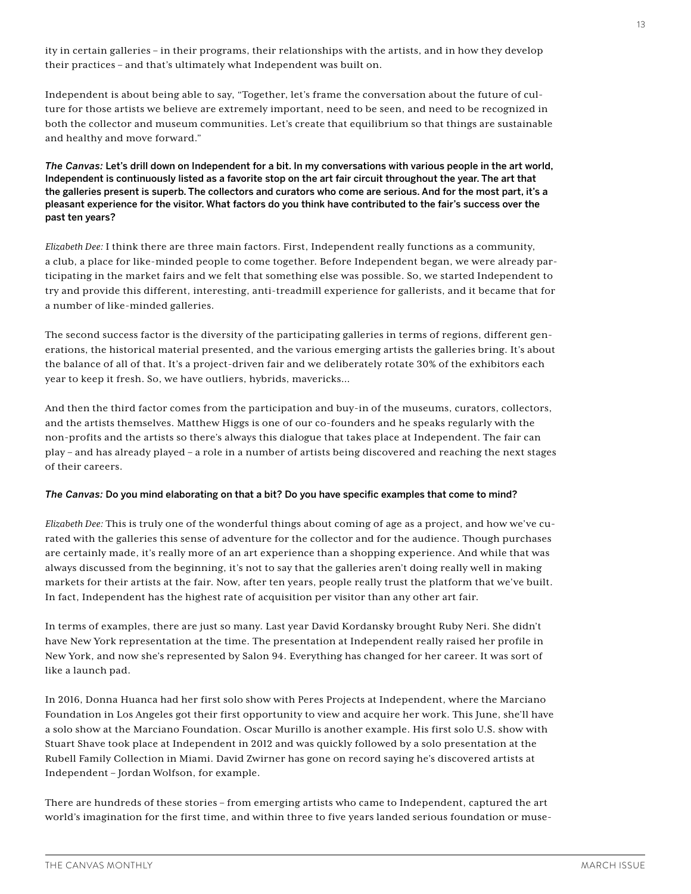ity in certain galleries – in their programs, their relationships with the artists, and in how they develop their practices – and that's ultimately what Independent was built on.

Independent is about being able to say, "Together, let's frame the conversation about the future of culture for those artists we believe are extremely important, need to be seen, and need to be recognized in both the collector and museum communities. Let's create that equilibrium so that things are sustainable and healthy and move forward."

*The Canvas:* Let's drill down on Independent for a bit. In my conversations with various people in the art world, Independent is continuously listed as a favorite stop on the art fair circuit throughout the year. The art that the galleries present is superb. The collectors and curators who come are serious. And for the most part, it's a pleasant experience for the visitor. What factors do you think have contributed to the fair's success over the past ten years?

*Elizabeth Dee:* I think there are three main factors. First, Independent really functions as a community, a club, a place for like-minded people to come together. Before Independent began, we were already participating in the market fairs and we felt that something else was possible. So, we started Independent to try and provide this different, interesting, anti-treadmill experience for gallerists, and it became that for a number of like-minded galleries.

The second success factor is the diversity of the participating galleries in terms of regions, different generations, the historical material presented, and the various emerging artists the galleries bring. It's about the balance of all of that. It's a project-driven fair and we deliberately rotate 30% of the exhibitors each year to keep it fresh. So, we have outliers, hybrids, mavericks…

And then the third factor comes from the participation and buy-in of the museums, curators, collectors, and the artists themselves. Matthew Higgs is one of our co-founders and he speaks regularly with the non-profits and the artists so there's always this dialogue that takes place at Independent. The fair can play – and has already played – a role in a number of artists being discovered and reaching the next stages of their careers.

#### *The Canvas:* Do you mind elaborating on that a bit? Do you have specific examples that come to mind?

*Elizabeth Dee:* This is truly one of the wonderful things about coming of age as a project, and how we've curated with the galleries this sense of adventure for the collector and for the audience. Though purchases are certainly made, it's really more of an art experience than a shopping experience. And while that was always discussed from the beginning, it's not to say that the galleries aren't doing really well in making markets for their artists at the fair. Now, after ten years, people really trust the platform that we've built. In fact, Independent has the highest rate of acquisition per visitor than any other art fair.

In terms of examples, there are just so many. Last year David Kordansky brought Ruby Neri. She didn't have New York representation at the time. The presentation at Independent really raised her profile in New York, and now she's represented by Salon 94. Everything has changed for her career. It was sort of like a launch pad.

In 2016, Donna Huanca had her first solo show with Peres Projects at Independent, where the Marciano Foundation in Los Angeles got their first opportunity to view and acquire her work. This June, she'll have a solo show at the Marciano Foundation. Oscar Murillo is another example. His first solo U.S. show with Stuart Shave took place at Independent in 2012 and was quickly followed by a solo presentation at the Rubell Family Collection in Miami. David Zwirner has gone on record saying he's discovered artists at Independent – Jordan Wolfson, for example.

There are hundreds of these stories – from emerging artists who came to Independent, captured the art world's imagination for the first time, and within three to five years landed serious foundation or muse